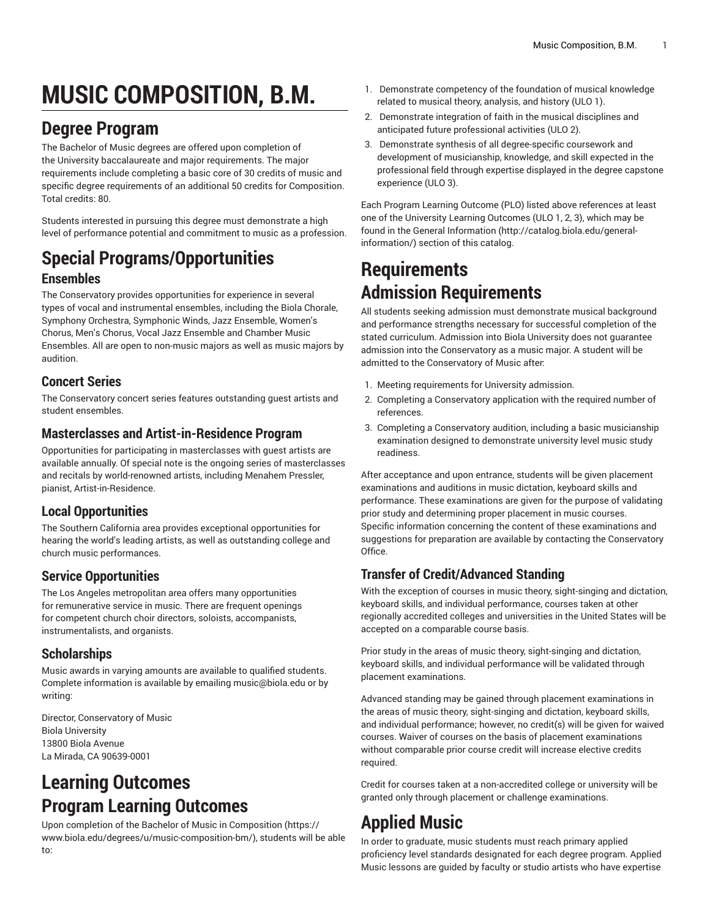# **MUSIC COMPOSITION, B.M.**

# **Degree Program**

The Bachelor of Music degrees are offered upon completion of the University baccalaureate and major requirements. The major requirements include completing a basic core of 30 credits of music and specific degree requirements of an additional 50 credits for Composition. Total credits: 80.

Students interested in pursuing this degree must demonstrate a high level of performance potential and commitment to music as a profession.

### **Special Programs/Opportunities Ensembles**

The Conservatory provides opportunities for experience in several types of vocal and instrumental ensembles, including the Biola Chorale, Symphony Orchestra, Symphonic Winds, Jazz Ensemble, Women's Chorus, Men's Chorus, Vocal Jazz Ensemble and Chamber Music Ensembles. All are open to non-music majors as well as music majors by audition.

#### **Concert Series**

The Conservatory concert series features outstanding guest artists and student ensembles.

#### **Masterclasses and Artist-in-Residence Program**

Opportunities for participating in masterclasses with guest artists are available annually. Of special note is the ongoing series of masterclasses and recitals by world-renowned artists, including Menahem Pressler, pianist, Artist-in-Residence.

### **Local Opportunities**

The Southern California area provides exceptional opportunities for hearing the world's leading artists, as well as outstanding college and church music performances.

### **Service Opportunities**

The Los Angeles metropolitan area offers many opportunities for remunerative service in music. There are frequent openings for competent church choir directors, soloists, accompanists, instrumentalists, and organists.

### **Scholarships**

Music awards in varying amounts are available to qualified students. Complete information is available by emailing [music@biola.edu](mailto:music@biola.edu) or by writing:

Director, Conservatory of Music Biola University 13800 Biola Avenue La Mirada, CA 90639-0001

# **Learning Outcomes Program Learning Outcomes**

Upon completion of the [Bachelor of Music in Composition \(https://](https://www.biola.edu/degrees/u/music-composition-bm/) [www.biola.edu/degrees/u/music-composition-bm/\)](https://www.biola.edu/degrees/u/music-composition-bm/), students will be able to:

- 1. Demonstrate competency of the foundation of musical knowledge related to musical theory, analysis, and history (ULO 1).
- 2. Demonstrate integration of faith in the musical disciplines and anticipated future professional activities (ULO 2).
- 3. Demonstrate synthesis of all degree-specific coursework and development of musicianship, knowledge, and skill expected in the professional field through expertise displayed in the degree capstone experience (ULO 3).

Each Program Learning Outcome (PLO) listed above references at least one of the University Learning Outcomes (ULO 1, 2, 3), which may be found in the [General Information](http://catalog.biola.edu/general-information/) ([http://catalog.biola.edu/general](http://catalog.biola.edu/general-information/)[information/\)](http://catalog.biola.edu/general-information/) section of this catalog.

# **Requirements Admission Requirements**

All students seeking admission must demonstrate musical background and performance strengths necessary for successful completion of the stated curriculum. Admission into Biola University does not guarantee admission into the Conservatory as a music major. A student will be admitted to the Conservatory of Music after:

- 1. Meeting requirements for University admission.
- 2. Completing a Conservatory application with the required number of references.
- 3. Completing a Conservatory audition, including a basic musicianship examination designed to demonstrate university level music study readiness.

After acceptance and upon entrance, students will be given placement examinations and auditions in music dictation, keyboard skills and performance. These examinations are given for the purpose of validating prior study and determining proper placement in music courses. Specific information concerning the content of these examinations and suggestions for preparation are available by contacting the Conservatory Office.

### **Transfer of Credit/Advanced Standing**

With the exception of courses in music theory, sight-singing and dictation, keyboard skills, and individual performance, courses taken at other regionally accredited colleges and universities in the United States will be accepted on a comparable course basis.

Prior study in the areas of music theory, sight-singing and dictation, keyboard skills, and individual performance will be validated through placement examinations.

Advanced standing may be gained through placement examinations in the areas of music theory, sight-singing and dictation, keyboard skills, and individual performance; however, no credit(s) will be given for waived courses. Waiver of courses on the basis of placement examinations without comparable prior course credit will increase elective credits required.

Credit for courses taken at a non-accredited college or university will be granted only through placement or challenge examinations.

# **Applied Music**

In order to graduate, music students must reach primary applied proficiency level standards designated for each degree program. Applied Music lessons are guided by faculty or studio artists who have expertise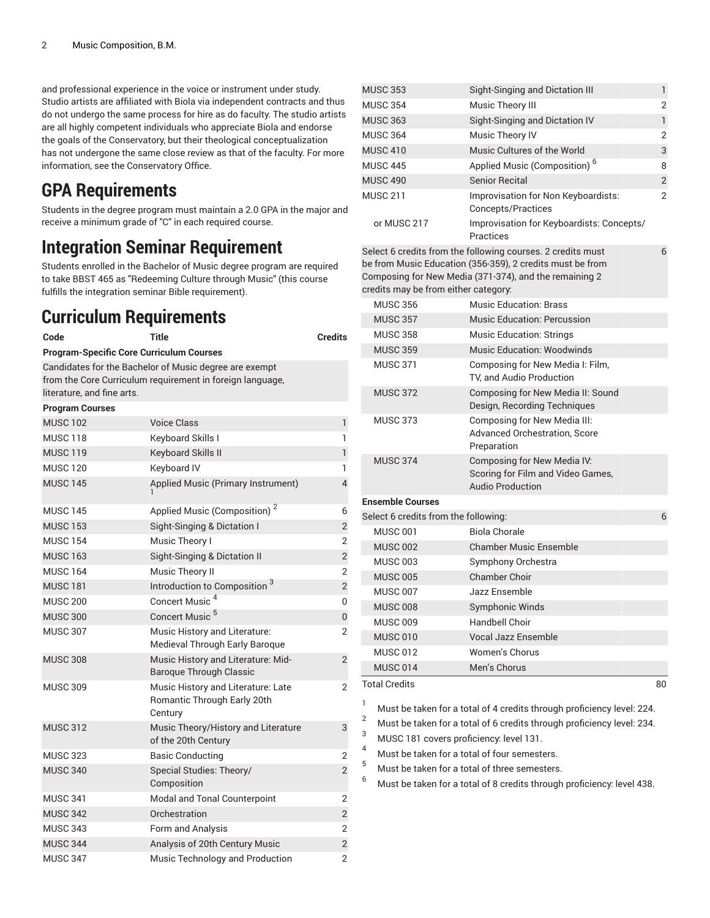and professional experience in the voice or instrument under study. Studio artists are affiliated with Biola via independent contracts and thus do not undergo the same process for hire as do faculty. The studio artists are all highly competent individuals who appreciate Biola and endorse the goals of the Conservatory, but their theological conceptualization has not undergone the same close review as that of the faculty. For more information, see the Conservatory Office.

## **GPA Requirements**

Students in the degree program must maintain a 2.0 GPA in the major and receive a minimum grade of "C" in each required course.

### **Integration Seminar Requirement**

Students enrolled in the Bachelor of Music degree program are required to take BBST 465 as "Redeeming Culture through Music" (this course fulfills the integration seminar Bible requirement).

### **Curriculum Requirements**

| Code                                            | <b>Credits</b>                                                               |                |
|-------------------------------------------------|------------------------------------------------------------------------------|----------------|
| <b>Program-Specific Core Curriculum Courses</b> |                                                                              |                |
|                                                 | Candidates for the Bachelor of Music degree are exempt                       |                |
|                                                 | from the Core Curriculum requirement in foreign language,                    |                |
| literature, and fine arts.                      |                                                                              |                |
| <b>Program Courses</b>                          |                                                                              |                |
| <b>MUSC 102</b>                                 | <b>Voice Class</b>                                                           | 1              |
| <b>MUSC 118</b>                                 | Keyboard Skills I                                                            | 1              |
| <b>MUSC 119</b>                                 | Keyboard Skills II                                                           | 1              |
| <b>MUSC 120</b>                                 | Keyboard IV                                                                  | 1              |
| <b>MUSC 145</b>                                 | Applied Music (Primary Instrument)                                           | 4              |
| <b>MUSC 145</b>                                 | Applied Music (Composition) <sup>2</sup>                                     | 6              |
| <b>MUSC 153</b>                                 | Sight-Singing & Dictation I                                                  | $\overline{2}$ |
| <b>MUSC 154</b>                                 | Music Theory I                                                               | 2              |
| <b>MUSC 163</b>                                 | Sight-Singing & Dictation II                                                 | $\overline{2}$ |
| <b>MUSC 164</b>                                 | Music Theory II                                                              | $\overline{2}$ |
| <b>MUSC 181</b>                                 | Introduction to Composition <sup>3</sup>                                     | $\overline{2}$ |
| <b>MUSC 200</b>                                 | Concert Music <sup>4</sup>                                                   | 0              |
| <b>MUSC 300</b>                                 | Concert Music <sup>5</sup>                                                   | 0              |
| <b>MUSC 307</b>                                 | Music History and Literature:<br>Medieval Through Early Baroque              | 2              |
| <b>MUSC 308</b>                                 | Music History and Literature: Mid-<br>Baroque Through Classic                | $\overline{2}$ |
| <b>MUSC 309</b>                                 | Music History and Literature: Late<br>Romantic Through Early 20th<br>Century | 2              |
| <b>MUSC 312</b>                                 | Music Theory/History and Literature<br>of the 20th Century                   | 3              |
| <b>MUSC 323</b>                                 | <b>Basic Conducting</b>                                                      | 2              |
| <b>MUSC 340</b>                                 | Special Studies: Theory/<br>Composition                                      | $\overline{2}$ |
| <b>MUSC 341</b>                                 | Modal and Tonal Counterpoint                                                 | $\overline{2}$ |
| <b>MUSC 342</b>                                 | Orchestration                                                                | $\overline{2}$ |
| <b>MUSC 343</b>                                 | Form and Analysis                                                            | 2              |
| <b>MUSC 344</b>                                 | Analysis of 20th Century Music                                               | $\overline{2}$ |
| <b>MUSC 347</b>                                 | Music Technology and Production                                              | $\overline{2}$ |

| <b>MUSC 353</b>                                   | Sight-Singing and Dictation III                                                                                                                                                    | 1              |  |  |
|---------------------------------------------------|------------------------------------------------------------------------------------------------------------------------------------------------------------------------------------|----------------|--|--|
| <b>MUSC 354</b>                                   | Music Theory III                                                                                                                                                                   | 2              |  |  |
| <b>MUSC 363</b><br>Sight-Singing and Dictation IV |                                                                                                                                                                                    |                |  |  |
| <b>MUSC 364</b>                                   | Music Theory IV                                                                                                                                                                    | 2              |  |  |
| <b>MUSC 410</b>                                   | Music Cultures of the World                                                                                                                                                        | 3              |  |  |
| <b>MUSC 445</b>                                   | Applied Music (Composition) <sup>6</sup>                                                                                                                                           | 8              |  |  |
| <b>MUSC 490</b>                                   | <b>Senior Recital</b>                                                                                                                                                              | $\overline{2}$ |  |  |
| <b>MUSC 211</b>                                   | Improvisation for Non Keyboardists:<br>Concepts/Practices                                                                                                                          | 2              |  |  |
| or MUSC 217                                       | Improvisation for Keyboardists: Concepts/<br>Practices                                                                                                                             |                |  |  |
| credits may be from either category:              | Select 6 credits from the following courses. 2 credits must<br>be from Music Education (356-359), 2 credits must be from<br>Composing for New Media (371-374), and the remaining 2 | 6              |  |  |
| <b>MUSC 356</b>                                   | <b>Music Education: Brass</b>                                                                                                                                                      |                |  |  |
| <b>MUSC 357</b>                                   | Music Education: Percussion                                                                                                                                                        |                |  |  |
| <b>MUSC 358</b>                                   | <b>Music Education: Strings</b>                                                                                                                                                    |                |  |  |
| <b>MUSC 359</b>                                   | <b>Music Education: Woodwinds</b>                                                                                                                                                  |                |  |  |
| <b>MUSC 371</b>                                   | Composing for New Media I: Film,<br>TV, and Audio Production                                                                                                                       |                |  |  |
| <b>MUSC 372</b>                                   | Composing for New Media II: Sound<br>Design, Recording Techniques                                                                                                                  |                |  |  |
| <b>MUSC 373</b>                                   | Composing for New Media III:<br><b>Advanced Orchestration, Score</b><br>Preparation                                                                                                |                |  |  |
| <b>MUSC 374</b>                                   | Composing for New Media IV:<br>Scoring for Film and Video Games,<br><b>Audio Production</b>                                                                                        |                |  |  |
| <b>Ensemble Courses</b>                           |                                                                                                                                                                                    |                |  |  |
| Select 6 credits from the following:              |                                                                                                                                                                                    | 6              |  |  |
| <b>MUSC 001</b>                                   | <b>Biola Chorale</b>                                                                                                                                                               |                |  |  |
| <b>MUSC 002</b>                                   | <b>Chamber Music Ensemble</b>                                                                                                                                                      |                |  |  |
| <b>MUSC 003</b>                                   | Symphony Orchestra                                                                                                                                                                 |                |  |  |
| <b>MUSC 005</b>                                   | <b>Chamber Choir</b>                                                                                                                                                               |                |  |  |
| <b>MUSC 007</b>                                   | Jazz Ensemble                                                                                                                                                                      |                |  |  |
| <b>MUSC 008</b>                                   | Symphonic Winds                                                                                                                                                                    |                |  |  |
| <b>MUSC 009</b>                                   | <b>Handbell Choir</b>                                                                                                                                                              |                |  |  |
| <b>MUSC 010</b>                                   | <b>Vocal Jazz Ensemble</b>                                                                                                                                                         |                |  |  |
| <b>MUSC 012</b>                                   | Women's Chorus                                                                                                                                                                     |                |  |  |
| <b>MUSC 014</b>                                   | Men's Chorus                                                                                                                                                                       |                |  |  |
| <b>Total Credits</b>                              |                                                                                                                                                                                    | 80             |  |  |
| 1                                                 | Must be taken for a total of 4 credits through proficiency level: 224.                                                                                                             |                |  |  |

<sup>2</sup> Must be taken for a total of 6 credits through proficiency level: 234.<br><sup>3</sup> MUSC 181 souste proficiency level 121.

MUSC 181 covers proficiency: level 131.

<sup>4</sup> Must be taken for a total of four semesters.<br> $\frac{5}{2}$  Must be taken for a total of three compatizes

Must be taken for a total of three semesters.

 $6$  Must be taken for a total of 8 credits through proficiency: level 438.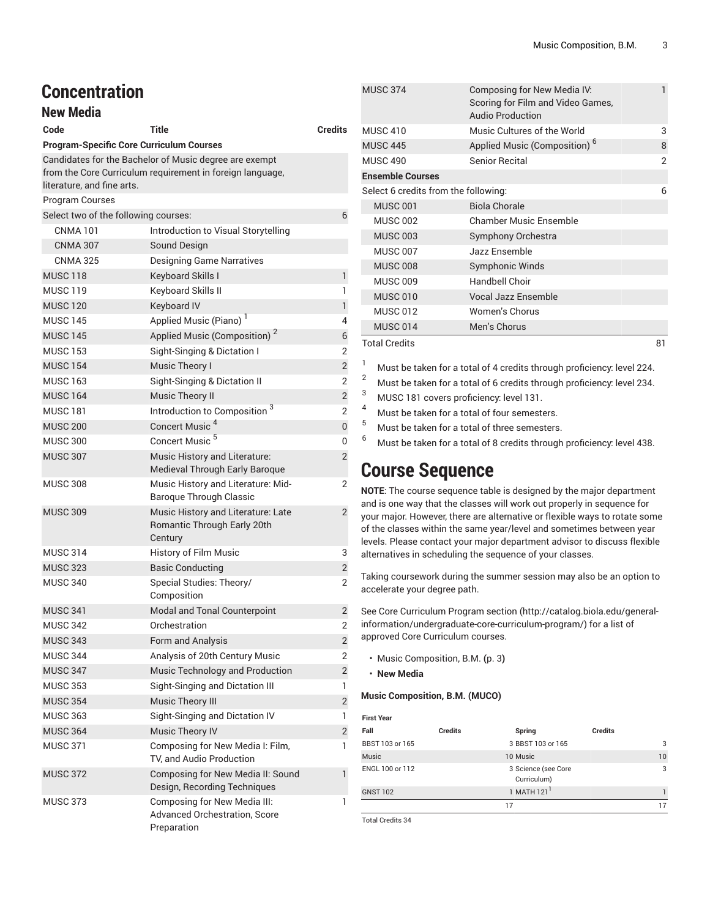| <b>Concentration</b>                            |                                                                              |                |
|-------------------------------------------------|------------------------------------------------------------------------------|----------------|
| <b>New Media</b>                                |                                                                              |                |
| Code                                            | Title                                                                        | Credits        |
| <b>Program-Specific Core Curriculum Courses</b> |                                                                              |                |
|                                                 | Candidates for the Bachelor of Music degree are exempt                       |                |
|                                                 | from the Core Curriculum requirement in foreign language,                    |                |
| literature, and fine arts.                      |                                                                              |                |
| <b>Program Courses</b>                          |                                                                              |                |
| Select two of the following courses:            |                                                                              | 6              |
| <b>CNMA 101</b>                                 | Introduction to Visual Storytelling                                          |                |
| <b>CNMA 307</b>                                 | Sound Design                                                                 |                |
| <b>CNMA 325</b>                                 | <b>Designing Game Narratives</b>                                             |                |
| <b>MUSC 118</b>                                 | Keyboard Skills I                                                            | $\mathbf{1}$   |
| <b>MUSC 119</b>                                 | Keyboard Skills II                                                           | 1              |
| <b>MUSC 120</b>                                 | Keyboard IV                                                                  | $\mathbf{1}$   |
| <b>MUSC 145</b>                                 | Applied Music (Piano) <sup>1</sup>                                           | 4              |
| <b>MUSC 145</b>                                 | Applied Music (Composition) <sup>2</sup>                                     | 6              |
| <b>MUSC 153</b>                                 | Sight-Singing & Dictation I                                                  | $\overline{2}$ |
| <b>MUSC 154</b>                                 | Music Theory I                                                               | $\overline{2}$ |
| <b>MUSC 163</b>                                 | Sight-Singing & Dictation II                                                 | 2              |
| <b>MUSC 164</b>                                 | <b>Music Theory II</b>                                                       | $\overline{2}$ |
| <b>MUSC 181</b>                                 | Introduction to Composition <sup>3</sup>                                     | $\overline{2}$ |
| <b>MUSC 200</b>                                 | Concert Music <sup>4</sup>                                                   | $\overline{0}$ |
| <b>MUSC 300</b>                                 | Concert Music <sup>5</sup>                                                   | 0              |
| <b>MUSC 307</b>                                 | Music History and Literature:<br>Medieval Through Early Baroque              | $\overline{2}$ |
| <b>MUSC 308</b>                                 | Music History and Literature: Mid-<br>Baroque Through Classic                | 2              |
| <b>MUSC 309</b>                                 | Music History and Literature: Late<br>Romantic Through Early 20th<br>Century | $\overline{2}$ |
| <b>MUSC 314</b>                                 | History of Film Music                                                        | 3              |
| <b>MUSC 323</b>                                 | <b>Basic Conducting</b>                                                      | 2              |
| <b>MUSC 340</b>                                 | Special Studies: Theory/<br>Composition                                      | 2              |
| <b>MUSC 341</b>                                 | Modal and Tonal Counterpoint                                                 | 2              |
| <b>MUSC 342</b>                                 | Orchestration                                                                | 2              |
| <b>MUSC 343</b>                                 | Form and Analysis                                                            | $\overline{2}$ |
| <b>MUSC 344</b>                                 | Analysis of 20th Century Music                                               | 2              |
| <b>MUSC 347</b>                                 | Music Technology and Production                                              | 2              |
| <b>MUSC 353</b>                                 | Sight-Singing and Dictation III                                              | 1              |
| <b>MUSC 354</b>                                 | Music Theory III                                                             | $\overline{2}$ |
| <b>MUSC 363</b>                                 | Sight-Singing and Dictation IV                                               | 1              |
| <b>MUSC 364</b>                                 | <b>Music Theory IV</b>                                                       | 2              |
| <b>MUSC 371</b>                                 | Composing for New Media I: Film,<br>TV, and Audio Production                 | 1              |
| <b>MUSC 372</b>                                 | Composing for New Media II: Sound<br>Design, Recording Techniques            | 1              |
| <b>MUSC 373</b>                                 | Composing for New Media III:<br>Advanced Orchestration, Score<br>Preparation | 1              |

| <b>MUSC 374</b>                      | Composing for New Media IV:<br>Scoring for Film and Video Games,<br><b>Audio Production</b> | 1  |
|--------------------------------------|---------------------------------------------------------------------------------------------|----|
| <b>MUSC 410</b>                      | Music Cultures of the World                                                                 | 3  |
| <b>MUSC 445</b>                      | Applied Music (Composition) <sup>6</sup>                                                    | 8  |
| <b>MUSC 490</b>                      | Senior Recital                                                                              | 2  |
| <b>Ensemble Courses</b>              |                                                                                             |    |
| Select 6 credits from the following: |                                                                                             | 6  |
| <b>MUSC 001</b>                      | <b>Biola Chorale</b>                                                                        |    |
| <b>MUSC 002</b>                      | <b>Chamber Music Ensemble</b>                                                               |    |
| <b>MUSC 003</b>                      | Symphony Orchestra                                                                          |    |
| <b>MUSC 007</b>                      | Jazz Ensemble                                                                               |    |
| <b>MUSC 008</b>                      | Symphonic Winds                                                                             |    |
| <b>MUSC 009</b>                      | Handbell Choir                                                                              |    |
| <b>MUSC 010</b>                      | Vocal Jazz Ensemble                                                                         |    |
| <b>MUSC 012</b>                      | Women's Chorus                                                                              |    |
| <b>MUSC 014</b>                      | Men's Chorus                                                                                |    |
| Total Credits                        |                                                                                             | 81 |

Total Credits 81

<sup>1</sup> Must be taken for a total of 4 credits through proficiency: level 224.

<sup>2</sup> Must be taken for a total of 6 credits through proficiency: level 234.

 $3$  MUSC 181 covers proficiency: level 131.

Must be taken for a total of four semesters.

<sup>5</sup> Must be taken for a total of three semesters.<br><sup>6</sup> Must be taken for a total of 8 aradite through

<sup>6</sup> Must be taken for <sup>a</sup> total of <sup>8</sup> credits through proficiency: level 438.

# **Course Sequence**

**NOTE**: The course sequence table is designed by the major department and is one way that the classes will work out properly in sequence for your major. However, there are alternative or flexible ways to rotate some of the classes within the same year/level and sometimes between year levels. Please contact your major department advisor to discuss flexible alternatives in scheduling the sequence of your classes.

Taking coursework during the summer session may also be an option to accelerate your degree path.

See Core [Curriculum](http://catalog.biola.edu/general-information/undergraduate-core-curriculum-program/) Program section ([http://catalog.biola.edu/general](http://catalog.biola.edu/general-information/undergraduate-core-curriculum-program/)[information/undergraduate-core-curriculum-program/\)](http://catalog.biola.edu/general-information/undergraduate-core-curriculum-program/) for a list of approved Core Curriculum courses.

- [Music Composition, B.M.](#page-2-0) **(**[p. 3](#page-2-0)**)**
- **New Media**

#### <span id="page-2-0"></span>**Music Composition, B.M. (MUCO)**

| <b>First Year</b> |                |                                    |                |    |
|-------------------|----------------|------------------------------------|----------------|----|
| Fall              | <b>Credits</b> | Spring                             | <b>Credits</b> |    |
| BBST 103 or 165   |                | 3 BBST 103 or 165                  |                | 3  |
| Music             |                | 10 Music                           |                | 10 |
| ENGL 100 or 112   |                | 3 Science (see Core<br>Curriculum) |                | 3  |
| <b>GNST 102</b>   |                | 1 MATH 121                         |                |    |
|                   |                | 17                                 |                | 17 |

Total Credits 34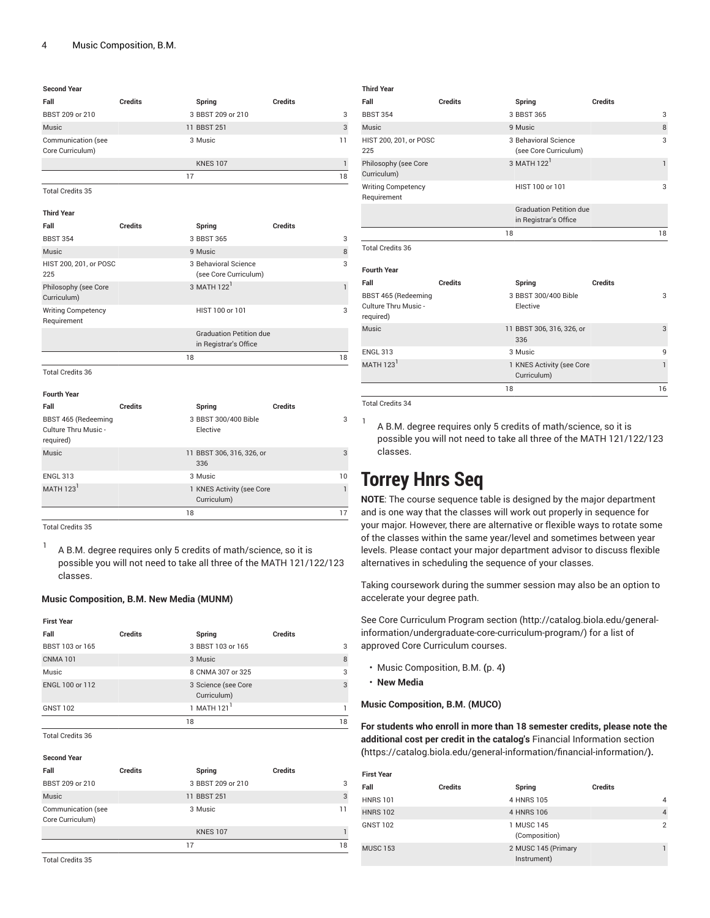#### **Second Year**

| Fall                                   | <b>Credits</b> | Spring            | <b>Credits</b> |
|----------------------------------------|----------------|-------------------|----------------|
| BBST 209 or 210                        |                | 3 BBST 209 or 210 | 3              |
| Music                                  |                | 11 BBST 251       | 3              |
| Communication (see<br>Core Curriculum) |                | 3 Music           | 11             |
|                                        |                | <b>KNES 107</b>   |                |
|                                        |                | 17                | 18             |

Total Credits 35

| <b>Credits</b><br>Spring<br>3 BBST 365<br>3<br>8<br>9 Music<br>3 Behavioral Science<br>3<br>(see Core Curriculum)<br>3 MATH 122 <sup>1</sup><br>1 |
|---------------------------------------------------------------------------------------------------------------------------------------------------|
|                                                                                                                                                   |
|                                                                                                                                                   |
|                                                                                                                                                   |
|                                                                                                                                                   |
|                                                                                                                                                   |
| HIST 100 or 101<br>3                                                                                                                              |
| <b>Graduation Petition due</b><br>in Registrar's Office                                                                                           |
| 18<br>18                                                                                                                                          |
|                                                                                                                                                   |
|                                                                                                                                                   |

| <b>Fourth Year</b>                                       |                |                                          |                |
|----------------------------------------------------------|----------------|------------------------------------------|----------------|
| Fall                                                     | <b>Credits</b> | Spring                                   | <b>Credits</b> |
| BBST 465 (Redeeming<br>Culture Thru Music -<br>required) |                | 3 BBST 300/400 Bible<br>Elective         | 3              |
| <b>Music</b>                                             |                | 11 BBST 306, 316, 326, or<br>336         | 3              |
| <b>ENGL 313</b>                                          |                | 3 Music                                  | 10             |
| MATH $1231$                                              |                | 1 KNES Activity (see Core<br>Curriculum) | 1              |
|                                                          | 18             |                                          | 17             |

Total Credits 35

1 A B.M. degree requires only 5 credits of math/science, so it is possible you will not need to take all three of the MATH 121/122/123 classes.

#### **Music Composition, B.M. New Media (MUNM)**

#### **First Year Fall Credits Spring Credits** BBST 103 or 165 3 BBST 103 or 165 CNMA 101 3 Music 8 Music 8 CNMA 307 or 325 ENGL 100 or 112 3 Science (see Core Curriculum) 3  $GNST 102$  1 MATH 121<sup>1</sup> 1 18 18

Total Credits 36

**Second Year**

| <b>JELUIIU I CAI</b>                   |                |                   |                |    |
|----------------------------------------|----------------|-------------------|----------------|----|
| Fall                                   | <b>Credits</b> | Spring            | <b>Credits</b> |    |
| BBST 209 or 210                        |                | 3 BBST 209 or 210 |                | 3  |
| Music                                  |                | 11 BBST 251       |                | 3  |
| Communication (see<br>Core Curriculum) |                | 3 Music           |                | 11 |
|                                        |                | <b>KNES 107</b>   |                |    |
|                                        |                | 17                |                | 18 |
| $T + 10$ $T_1$ $27$                    |                |                   |                |    |

| Fall                                                     | Credits        | Spring                                                  | Credits        |
|----------------------------------------------------------|----------------|---------------------------------------------------------|----------------|
| <b>BBST 354</b>                                          |                | 3 BBST 365                                              | 3              |
| Music                                                    |                | 9 Music                                                 | 8              |
| HIST 200, 201, or POSC<br>225                            |                | 3 Behavioral Science<br>(see Core Curriculum)           | 3              |
| Philosophy (see Core<br>Curriculum)                      |                | 3 MATH 122 <sup>1</sup>                                 | $\mathbf{1}$   |
| <b>Writing Competency</b><br>Requirement                 |                | HIST 100 or 101                                         | 3              |
|                                                          |                | <b>Graduation Petition due</b><br>in Registrar's Office |                |
|                                                          | 18             |                                                         | 18             |
| <b>Total Credits 36</b>                                  |                |                                                         |                |
| <b>Fourth Year</b>                                       |                |                                                         |                |
| Fall                                                     | <b>Credits</b> | Spring                                                  | <b>Credits</b> |
| BBST 465 (Redeeming<br>Culture Thru Music -<br>required) |                | 3 BBST 300/400 Bible<br>Elective                        | 3              |
| Music                                                    |                | 11 BBST 306, 316, 326, or<br>336                        | 3              |
| <b>ENGL 313</b>                                          |                | 3 Music                                                 | 9              |
| MATH $1231$                                              |                | 1 KNES Activity (see Core<br>Curriculum)                | $\mathbf{1}$   |
|                                                          | 18             |                                                         | 16             |

Total Credits 34

**Third Year**

1 A B.M. degree requires only 5 credits of math/science, so it is possible you will not need to take all three of the MATH 121/122/123 classes.

# **Torrey Hnrs Seq**

**NOTE**: The course sequence table is designed by the major department and is one way that the classes will work out properly in sequence for your major. However, there are alternative or flexible ways to rotate some of the classes within the same year/level and sometimes between year levels. Please contact your major department advisor to discuss flexible alternatives in scheduling the sequence of your classes.

Taking coursework during the summer session may also be an option to accelerate your degree path.

See Core [Curriculum](http://catalog.biola.edu/general-information/undergraduate-core-curriculum-program/) Program section ([http://catalog.biola.edu/general](http://catalog.biola.edu/general-information/undergraduate-core-curriculum-program/)[information/undergraduate-core-curriculum-program/\)](http://catalog.biola.edu/general-information/undergraduate-core-curriculum-program/) for a list of approved Core Curriculum courses.

- [Music Composition, B.M.](#page-3-0) **(**[p. 4](#page-3-0)**)**
- **New Media**

#### <span id="page-3-0"></span>**Music Composition, B.M. (MUCO)**

**For students who enroll in more than 18 semester credits, please note the additional cost per credit in the catalog's** [Financial Information section](https://catalog.biola.edu/general-information/financial-information/) **(**<https://catalog.biola.edu/general-information/financial-information/>**).**

| <b>First Year</b> |                |                                    |         |                |
|-------------------|----------------|------------------------------------|---------|----------------|
| Fall              | <b>Credits</b> | Spring                             | Credits |                |
| <b>HNRS 101</b>   |                | 4 HNRS 105                         |         | 4              |
| <b>HNRS 102</b>   |                | 4 HNRS 106                         |         | $\overline{4}$ |
| <b>GNST 102</b>   |                | 1 MUSC 145<br>(Composition)        |         | $\overline{2}$ |
| <b>MUSC 153</b>   |                | 2 MUSC 145 (Primary<br>Instrument) |         |                |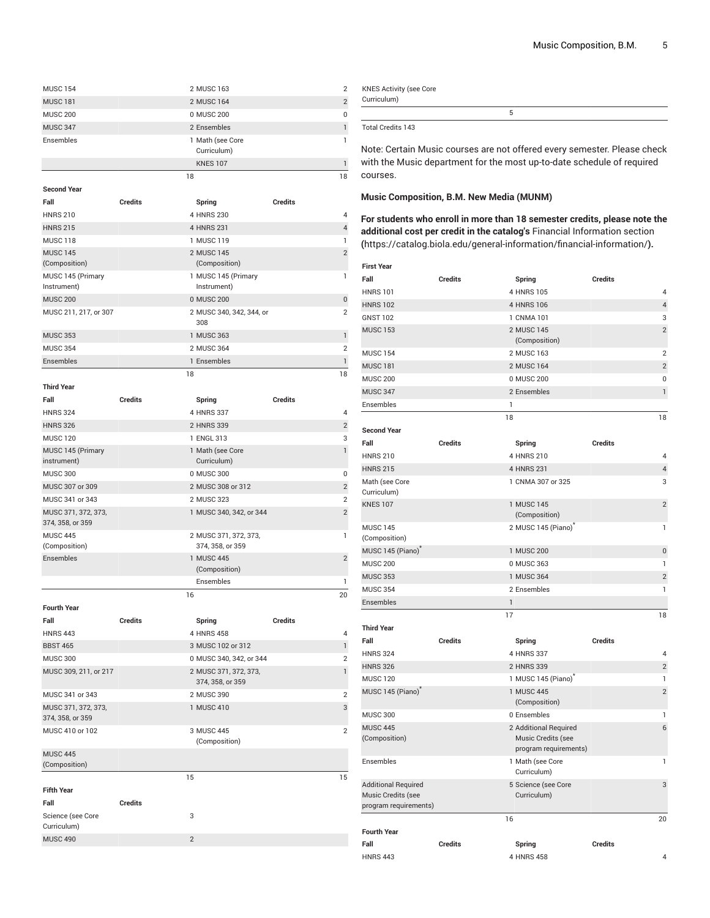| <b>MUSC 154</b>                         |                |                | 2 MUSC 163                                |                | $\overline{2}$ |
|-----------------------------------------|----------------|----------------|-------------------------------------------|----------------|----------------|
| <b>MUSC 181</b>                         |                |                | 2 MUSC 164                                |                | $\overline{c}$ |
| <b>MUSC 200</b>                         |                |                | 0 MUSC 200                                |                | 0              |
| <b>MUSC 347</b>                         |                |                | 2 Ensembles                               |                | 1              |
| Ensembles                               |                |                | 1 Math (see Core                          |                | 1              |
|                                         |                |                | Curriculum)                               |                |                |
|                                         |                |                | <b>KNES 107</b>                           |                | 1              |
|                                         |                | 18             |                                           |                | 18             |
| <b>Second Year</b>                      |                |                |                                           |                |                |
| Fall                                    | <b>Credits</b> |                | Spring                                    | <b>Credits</b> |                |
| <b>HNRS 210</b>                         |                |                | 4 HNRS 230                                |                | 4              |
| <b>HNRS 215</b>                         |                |                | 4 HNRS 231                                |                | 4              |
| MUSC <sub>118</sub>                     |                |                | 1 MUSC 119                                |                | 1              |
| <b>MUSC 145</b><br>(Composition)        |                |                | 2 MUSC 145<br>(Composition)               |                | $\overline{2}$ |
| MUSC 145 (Primary                       |                |                | 1 MUSC 145 (Primary                       |                | 1              |
| Instrument)                             |                |                | Instrument)                               |                |                |
| <b>MUSC 200</b>                         |                |                | 0 MUSC 200                                |                | 0              |
| MUSC 211, 217, or 307                   |                |                | 2 MUSC 340, 342, 344, or                  |                | $\overline{2}$ |
|                                         |                |                | 308                                       |                |                |
| <b>MUSC 353</b>                         |                |                | 1 MUSC 363                                |                | 1              |
| <b>MUSC 354</b>                         |                |                | 2 MUSC 364                                |                | $\overline{2}$ |
| Ensembles                               |                |                | 1 Ensembles                               |                | $\mathbf{1}$   |
|                                         |                | 18             |                                           |                | 18             |
| <b>Third Year</b>                       |                |                |                                           |                |                |
| Fall                                    | <b>Credits</b> |                | Spring                                    | <b>Credits</b> |                |
| <b>HNRS 324</b>                         |                |                | 4 HNRS 337                                |                | 4              |
| <b>HNRS 326</b>                         |                |                | 2 HNRS 339                                |                | $\overline{c}$ |
| <b>MUSC 120</b>                         |                |                | 1 ENGL 313                                |                | 3              |
| MUSC 145 (Primary                       |                |                | 1 Math (see Core                          |                | 1              |
| instrument)                             |                |                | Curriculum)                               |                |                |
| <b>MUSC 300</b>                         |                |                | 0 MUSC 300                                |                | 0              |
| MUSC 307 or 309                         |                |                | 2 MUSC 308 or 312                         |                | $\overline{2}$ |
| MUSC 341 or 343                         |                |                | 2 MUSC 323                                |                | $\overline{2}$ |
| MUSC 371, 372, 373,<br>374, 358, or 359 |                |                | 1 MUSC 340, 342, or 344                   |                | $\overline{c}$ |
| <b>MUSC 445</b>                         |                |                | 2 MUSC 371, 372, 373,                     |                | 1              |
| (Composition)                           |                |                | 374, 358, or 359                          |                |                |
| Ensembles                               |                |                | 1 MUSC 445<br>(Composition)               |                | $\overline{2}$ |
|                                         |                |                | Ensembles                                 |                | 1              |
|                                         |                | 16             |                                           |                | 20             |
| <b>Fourth Year</b>                      |                |                |                                           |                |                |
| Fall                                    | <b>Credits</b> |                | Spring                                    | <b>Credits</b> |                |
| <b>HNRS 443</b>                         |                |                | 4 HNRS 458                                |                | 4              |
| <b>BBST 465</b>                         |                |                | 3 MUSC 102 or 312                         |                | 1              |
| <b>MUSC 300</b>                         |                |                | 0 MUSC 340, 342, or 344                   |                | $\overline{2}$ |
| MUSC 309, 211, or 217                   |                |                | 2 MUSC 371, 372, 373,<br>374, 358, or 359 |                | 1              |
| MUSC 341 or 343                         |                |                | 2 MUSC 390                                |                | $\overline{2}$ |
| MUSC 371, 372, 373,                     |                |                | 1 MUSC 410                                |                | 3              |
| 374, 358, or 359                        |                |                |                                           |                |                |
| MUSC 410 or 102                         |                |                | 3 MUSC 445<br>(Composition)               |                | $\overline{2}$ |
| <b>MUSC 445</b>                         |                |                |                                           |                |                |
| (Composition)                           |                |                |                                           |                |                |
|                                         |                | 15             |                                           |                | 15             |
| <b>Fifth Year</b>                       |                |                |                                           |                |                |
| Fall                                    | <b>Credits</b> |                |                                           |                |                |
| Science (see Core<br>Curriculum)        |                | 3              |                                           |                |                |
| <b>MUSC 490</b>                         |                | $\overline{2}$ |                                           |                |                |

| <b>KNES Activity (see Core</b><br>Curriculum) |  |
|-----------------------------------------------|--|
|                                               |  |
| Total Credits 143                             |  |

Note: Certain Music courses are not offered every semester. Please check with the Music department for the most up-to-date schedule of required courses.

#### **Music Composition, B.M. New Media (MUNM)**

**For students who enroll in more than 18 semester credits, please note the additional cost per credit in the catalog's** [Financial Information section](https://catalog.biola.edu/general-information/financial-information/) **(**<https://catalog.biola.edu/general-information/financial-information/>**).**

| <b>First Year</b>                                                         |                |                                                                      |                |
|---------------------------------------------------------------------------|----------------|----------------------------------------------------------------------|----------------|
| Fall                                                                      | <b>Credits</b> | Spring                                                               | <b>Credits</b> |
| <b>HNRS101</b>                                                            |                | 4 HNRS 105                                                           | $\overline{4}$ |
| <b>HNRS 102</b>                                                           |                | 4 HNRS 106                                                           | $\overline{4}$ |
| <b>GNST 102</b>                                                           |                | 1 CNMA 101                                                           | 3              |
| <b>MUSC 153</b>                                                           |                | 2 MUSC 145<br>(Composition)                                          | $\overline{2}$ |
| <b>MUSC 154</b>                                                           |                | 2 MUSC 163                                                           | $\overline{2}$ |
| <b>MUSC 181</b>                                                           |                | 2 MUSC 164                                                           | $\overline{2}$ |
| <b>MUSC 200</b>                                                           |                | 0 MUSC 200                                                           | 0              |
| <b>MUSC 347</b>                                                           |                | 2 Ensembles                                                          | 1              |
| Ensembles                                                                 | 1              |                                                                      |                |
|                                                                           | 18             |                                                                      | 18             |
| <b>Second Year</b>                                                        |                |                                                                      |                |
| Fall                                                                      | <b>Credits</b> | Spring                                                               | <b>Credits</b> |
| <b>HNRS 210</b>                                                           |                | 4 HNRS 210                                                           | 4              |
| <b>HNRS 215</b>                                                           |                | 4 HNRS 231                                                           | $\overline{4}$ |
| Math (see Core<br>Curriculum)                                             |                | 1 CNMA 307 or 325                                                    | 3              |
| <b>KNES 107</b>                                                           |                | 1 MUSC 145                                                           | $\overline{2}$ |
|                                                                           |                | (Composition)                                                        |                |
| <b>MUSC 145</b><br>(Composition)                                          |                | 2 MUSC 145 (Piano) <sup>®</sup>                                      | 1              |
| MUSC 145 (Piano)                                                          |                | 1 MUSC 200                                                           | $\pmb{0}$      |
| <b>MUSC 200</b>                                                           |                | 0 MUSC 363                                                           | 1              |
| <b>MUSC 353</b>                                                           |                | 1 MUSC 364                                                           | $\overline{2}$ |
| <b>MUSC 354</b>                                                           |                | 2 Ensembles                                                          | 1              |
| Ensembles                                                                 | 1              |                                                                      |                |
|                                                                           | 17             |                                                                      | 18             |
| <b>Third Year</b>                                                         |                |                                                                      |                |
| Fall                                                                      | <b>Credits</b> | Spring                                                               | <b>Credits</b> |
| <b>HNRS 324</b>                                                           |                | 4 HNRS 337                                                           | 4              |
| <b>HNRS 326</b>                                                           |                | 2 HNRS 339                                                           | $\overline{2}$ |
| <b>MUSC 120</b>                                                           |                | 1 MUSC 145 (Piano) <sup>*</sup>                                      | 1              |
| MUSC 145 (Piano)                                                          |                | 1 MUSC 445<br>(Composition)                                          | $\overline{2}$ |
| <b>MUSC 300</b>                                                           |                | 0 Ensembles                                                          | 1              |
| <b>MUSC 445</b><br>(Composition)                                          |                | 2 Additional Required<br>Music Credits (see<br>program requirements) | 6              |
| Ensembles                                                                 |                | 1 Math (see Core<br>Curriculum)                                      | 1              |
| <b>Additional Required</b><br>Music Credits (see<br>program requirements) |                | 5 Science (see Core<br>Curriculum)                                   | 3              |
|                                                                           | 16             |                                                                      | 20             |
| <b>Fourth Year</b>                                                        |                |                                                                      |                |
| Fall                                                                      | <b>Credits</b> | Spring                                                               | <b>Credits</b> |
| <b>HNRS 443</b>                                                           |                | 4 HNRS 458                                                           | 4              |